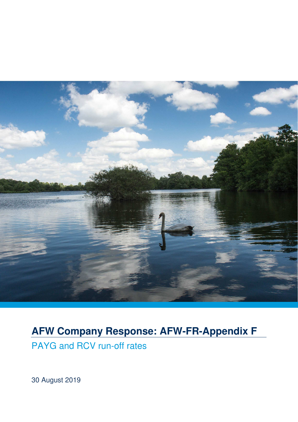

# **AFW Company Response: AFW-FR-Appendix F**

PAYG and RCV run-off rates

30 August 2019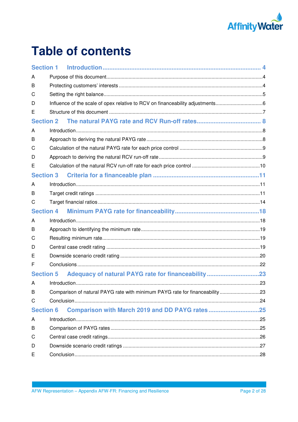

# **Table of contents**

| <b>Section 1</b> |                                                                               |
|------------------|-------------------------------------------------------------------------------|
| A                |                                                                               |
| B                |                                                                               |
| С                |                                                                               |
| D                | Influence of the scale of opex relative to RCV on financeability adjustments6 |
| Е                |                                                                               |
| <b>Section 2</b> |                                                                               |
| A                |                                                                               |
| В                |                                                                               |
| С                |                                                                               |
| D                |                                                                               |
| Е                |                                                                               |
| <b>Section 3</b> |                                                                               |
| A                |                                                                               |
| В                |                                                                               |
| С                |                                                                               |
| <b>Section 4</b> |                                                                               |
| A                |                                                                               |
| В                |                                                                               |
| С                |                                                                               |
| D                |                                                                               |
| E                |                                                                               |
| F                |                                                                               |
| <b>Section 5</b> |                                                                               |
| А                |                                                                               |
| В                | Comparison of natural PAYG rate with minimum PAYG rate for financeability 23  |
| С                |                                                                               |
| <b>Section 6</b> | Comparison with March 2019 and DD PAYG rates25                                |
| A                |                                                                               |
| В                |                                                                               |
| С                |                                                                               |
| D                |                                                                               |
| Е                |                                                                               |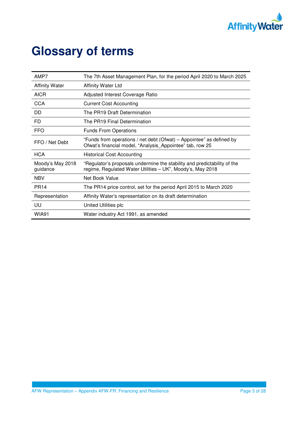

# **Glossary of terms**

| AMP7                         | The 7th Asset Management Plan, for the period April 2020 to March 2025                                                                 |
|------------------------------|----------------------------------------------------------------------------------------------------------------------------------------|
| <b>Affinity Water</b>        | <b>Affinity Water Ltd</b>                                                                                                              |
| <b>AICR</b>                  | Adjusted Interest Coverage Ratio                                                                                                       |
| <b>CCA</b>                   | <b>Current Cost Accounting</b>                                                                                                         |
| DD.                          | The PR19 Draft Determination                                                                                                           |
| FD                           | The PR19 Final Determination                                                                                                           |
| <b>FFO</b>                   | <b>Funds From Operations</b>                                                                                                           |
| FFO / Net Debt               | "Funds from operations / net debt (Ofwat) – Appointee" as defined by<br>Ofwat's financial model, "Analysis Appointee" tab, row 25      |
| <b>HCA</b>                   | <b>Historical Cost Accounting</b>                                                                                                      |
| Moody's May 2018<br>guidance | "Regulator's proposals undermine the stability and predictability of the<br>regime, Regulated Water Utilities - UK", Moody's, May 2018 |
| <b>NBV</b>                   | Net Book Value                                                                                                                         |
| <b>PR14</b>                  | The PR14 price control, set for the period April 2015 to March 2020                                                                    |
| Representation               | Affinity Water's representation on its draft determination                                                                             |
| UU                           | United Utilities plc                                                                                                                   |
| <b>WIA91</b>                 | Water industry Act 1991, as amended                                                                                                    |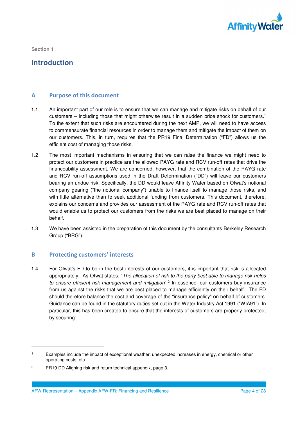

## **Introduction**

## **A Purpose of this document**

- 1.1 An important part of our role is to ensure that we can manage and mitigate risks on behalf of our customers – including those that might otherwise result in a sudden price shock for customers.<sup>1</sup> To the extent that such risks are encountered during the next AMP, we will need to have access to commensurate financial resources in order to manage them and mitigate the impact of them on our customers. This, in turn, requires that the PR19 Final Determination ("FD") allows us the efficient cost of managing those risks.
- 1.2 The most important mechanisms in ensuring that we can raise the finance we might need to protect our customers in practice are the allowed PAYG rate and RCV run-off rates that drive the financeability assessment. We are concerned, however, that the combination of the PAYG rate and RCV run-off assumptions used in the Draft Determination ("DD") will leave our customers bearing an undue risk. Specifically, the DD would leave Affinity Water based on Ofwat's notional company gearing ("the notional company") unable to finance itself to manage those risks, and with little alternative than to seek additional funding from customers. This document, therefore, explains our concerns and provides our assessment of the PAYG rate and RCV run-off rates that would enable us to protect our customers from the risks we are best placed to manage on their behalf.
- 1.3 We have been assisted in the preparation of this document by the consultants Berkeley Research Group ("BRG").

## **B Protecting customers' interests**

-

1.4 For Ofwat's FD to be in the best interests of our customers, it is important that risk is allocated appropriately. As Ofwat states, "*The allocation of risk to the party best able to manage risk helps to ensure efficient risk management and mitigation*".<sup>2</sup> In essence, our customers buy insurance from us against the risks that we are best placed to manage efficiently on their behalf. The FD should therefore balance the cost and coverage of the "insurance policy" on behalf of customers. Guidance can be found in the statutory duties set out in the Water Industry Act 1991 ("WIA91"). In particular, this has been created to ensure that the interests of customers are properly protected, by securing:

<sup>1</sup> Examples include the impact of exceptional weather, unexpected increases in energy, chemical or other operating costs, etc.

 $\overline{2}$ PR19 DD Aligning risk and return technical appendix, page 3.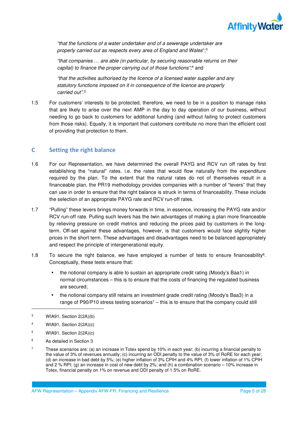

*"that the functions of a water undertaker and of a sewerage undertaker are properly carried out as respects every area of England and Wales*";<sup>3</sup>

*"that companies … are able (in particular, by securing reasonable returns on their*  capital) to finance the proper carrying out of those functions";<sup>4</sup> and

*"that the activities authorised by the licence of a licensed water supplier and any statutory functions imposed on it in consequence of the licence are properly carried out".<sup>5</sup>* 

1.5 For customers' interests to be protected, therefore, we need to be in a position to manage risks that are likely to arise over the next AMP in the day to day operation of our business, without needing to go back to customers for additional funding (and without failing to protect customers from those risks). Equally, it is important that customers contribute no more than the efficient cost of providing that protection to them.

## **C Setting the right balance**

- 1.6 For our Representation, we have determined the overall PAYG and RCV run off rates by first establishing the "natural" rates. i.e. the rates that would flow naturally from the expenditure required by the plan. To the extent that the natural rates do not of themselves result in a financeable plan, the PR19 methodology provides companies with a number of "levers" that they can use in order to ensure that the right balance is struck in terms of financeability. These include the selection of an appropriate PAYG rate and RCV run-off rates.
- 1.7 "Pulling" these levers brings money forwards in time, in essence, increasing the PAYG rate and/or RCV run-off rate. Pulling such levers has the twin advantages of making a plan more financeable by relieving pressure on credit metrics and reducing the prices paid by customers in the longterm. Off-set against these advantages, however, is that customers would face slightly higher prices in the short term. These advantages and disadvantages need to be balanced appropriately and respect the principle of intergenerational equity.
- 1.8 To secure the right balance, we have employed a number of tests to ensure financeability<sup>6</sup> . Conceptually, these tests ensure that:
	- the notional company is able to sustain an appropriate credit rating (Moody's Baa1) in normal circumstances – this is to ensure that the costs of financing the regulated business are secured;
	- the notional company still retains an investment grade credit rating (Moody's Baa3) in a range of P90/P10 stress testing scenarios<sup>7</sup> – this is to ensure that the company could still

- 4 WIA91, Section 2(2A)(c)
- 5 WIA91, Section 2(2A)(c)
- 6 As detailed in Section 3
- 7 These scenarios are: (a) an increase in Totex spend by 10% in each year; (b) incurring a financial penalty to the value of 3% of revenues annually; (c) incurring an ODI penalty to the value of 3% of RoRE for each year; (d) an increase in bad debt by 5%; (e) higher inflation of 3% CPIH and 4% RPI; (f) lower inflation of 1% CPIH and 2 % RPI; (g) an increase in cost of new debt by 2%; and (h) a combination scenario – 10% increase in Totex, financial penalty on 1% on revenue and ODI penalty of 1.5% on RoRE.

<sup>3</sup> WIA91, Section 2(2A)(b)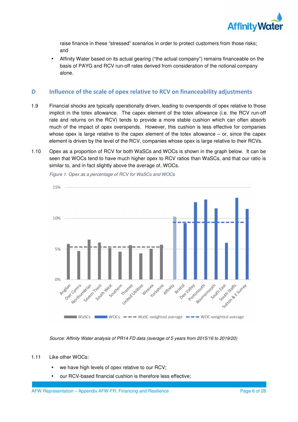

raise finance in these "stressed" scenarios in order to protect customers from those risks; and

• Affinity Water based on its actual gearing ("the actual company") remains financeable on the basis of PAYG and RCV run-off rates derived from consideration of the notional company alone.

## **D Influence of the scale of opex relative to RCV on financeability adjustments**

- 1.9 Financial shocks are typically operationally driven, leading to overspends of opex relative to those implicit in the totex allowance. The capex element of the totex allowance (i.e. the RCV run-off rate and returns on the RCV) tends to provide a more stable cushion which can often absorb much of the impact of opex overspends. However, this cushion is less effective for companies whose opex is large relative to the capex element of the totex allowance – or, since the capex element is driven by the level of the RCV, companies whose opex is large relative to their RCVs.
- 1.10 Opex as a proportion of RCV for both WaSCs and WOCs is shown in the graph below. It can be seen that WOCs tend to have much higher opex to RCV ratios than WaSCs, and that our ratio is similar to, and in fact slightly above the average of, WOCs.



*Figure 1: Opex as a percentage of RCV for WaSCs and WOCs* 

*Source: Affinity Water analysis of PR14 FD data (average of 5 years from 2015/16 to 2019/20)* 

#### 1.11 Like other WOCs:

- we have high levels of opex relative to our RCV;
- our RCV-based financial cushion is therefore less effective;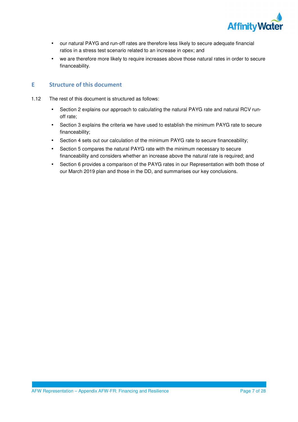

- our natural PAYG and run-off rates are therefore less likely to secure adequate financial ratios in a stress test scenario related to an increase in opex; and
- we are therefore more likely to require increases above those natural rates in order to secure financeability.

## **E Structure of this document**

- 1.12 The rest of this document is structured as follows:
	- Section 2 explains our approach to calculating the natural PAYG rate and natural RCV runoff rate;
	- Section 3 explains the criteria we have used to establish the minimum PAYG rate to secure financeability;
	- Section 4 sets out our calculation of the minimum PAYG rate to secure financeability;
	- Section 5 compares the natural PAYG rate with the minimum necessary to secure financeability and considers whether an increase above the natural rate is required; and
	- Section 6 provides a comparison of the PAYG rates in our Representation with both those of our March 2019 plan and those in the DD, and summarises our key conclusions.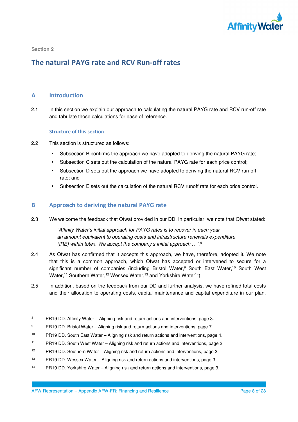

-

## **The natural PAYG rate and RCV Run-off rates**

## **A Introduction**

2.1 In this section we explain our approach to calculating the natural PAYG rate and RCV run-off rate and tabulate those calculations for ease of reference.

### **Structure of this section**

- 2.2 This section is structured as follows:
	- Subsection B confirms the approach we have adopted to deriving the natural PAYG rate;
	- Subsection C sets out the calculation of the natural PAYG rate for each price control;
	- Subsection D sets out the approach we have adopted to deriving the natural RCV run-off rate; and
	- Subsection E sets out the calculation of the natural RCV runoff rate for each price control.

## **B Approach to deriving the natural PAYG rate**

2.3 We welcome the feedback that Ofwat provided in our DD. In particular, we note that Ofwat stated:

*"Affinity Water's initial approach for PAYG rates is to recover in each year an amount equivalent to operating costs and infrastructure renewals expenditure (IRE) within totex. We accept the company's initial approach …".<sup>8</sup>*

- 2.4 As Ofwat has confirmed that it accepts this approach, we have, therefore, adopted it. We note that this is a common approach, which Ofwat has accepted or intervened to secure for a significant number of companies (including Bristol Water,<sup>9</sup> South East Water,<sup>10</sup> South West Water,<sup>11</sup> Southern Water,<sup>12</sup> Wessex Water,<sup>13</sup> and Yorkshire Water<sup>14</sup>).
- 2.5 In addition, based on the feedback from our DD and further analysis, we have refined total costs and their allocation to operating costs, capital maintenance and capital expenditure in our plan.

- <sup>13</sup> PR19 DD. Wessex Water Aligning risk and return actions and interventions, page 3.
- 14 PR19 DD. Yorkshire Water Aligning risk and return actions and interventions, page 3.

<sup>8</sup> PR19 DD. Affinity Water – Aligning risk and return actions and interventions, page 3.

<sup>9</sup> PR19 DD. Bristol Water – Aligning risk and return actions and interventions, page 7.

<sup>10</sup> PR19 DD. South East Water – Aligning risk and return actions and interventions, page 4.

<sup>11</sup> PR19 DD. South West Water – Aligning risk and return actions and interventions, page 2.

<sup>12</sup> PR19 DD. Southern Water – Aligning risk and return actions and interventions, page 2.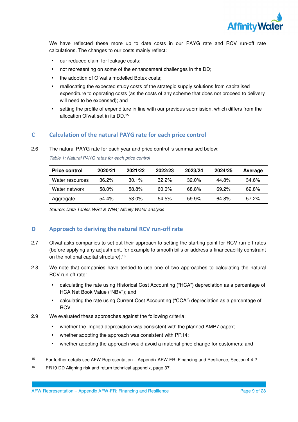

We have reflected these more up to date costs in our PAYG rate and RCV run-off rate calculations. The changes to our costs mainly reflect:

- our reduced claim for leakage costs:
- not representing on some of the enhancement challenges in the DD;
- the adoption of Ofwat's modelled Botex costs;
- reallocating the expected study costs of the strategic supply solutions from capitalised expenditure to operating costs (as the costs of any scheme that does not proceed to delivery will need to be expensed); and
- setting the profile of expenditure in line with our previous submission, which differs from the allocation Ofwat set in its DD.<sup>15</sup>

## **C Calculation of the natural PAYG rate for each price control**

#### 2.6 The natural PAYG rate for each year and price control is summarised below:

| <b>Price control</b> | 2020/21  | 2021/22  | 2022/23  | 2023/24  | 2024/25  | Average  |
|----------------------|----------|----------|----------|----------|----------|----------|
| Water resources      | $36.2\%$ | $30.1\%$ | $322\%$  | $32.0\%$ | 44.8%    | 34.6%    |
| Water network        | 58.0%    | 58.8%    | $60.0\%$ | 68.8%    | $69.2\%$ | 62.8%    |
| Aggregate            | 54.4%    | 53.0%    | 54.5%    | $59.9\%$ | 64.8%    | $57.2\%$ |

*Table 1: Natural PAYG rates for each price control* 

*Source: Data Tables WR4 & WN4; Affinity Water analysis*

## **D Approach to deriving the natural RCV run-off rate**

- 2.7 Ofwat asks companies to set out their approach to setting the starting point for RCV run-off rates (before applying any adjustment, for example to smooth bills or address a financeability constraint on the notional capital structure).<sup>16</sup>
- 2.8 We note that companies have tended to use one of two approaches to calculating the natural RCV run off rate:
	- calculating the rate using Historical Cost Accounting ("HCA") depreciation as a percentage of HCA Net Book Value ("NBV"); and
	- calculating the rate using Current Cost Accounting ("CCA") depreciation as a percentage of RCV.
- 2.9 We evaluated these approaches against the following criteria:
	- whether the implied depreciation was consistent with the planned AMP7 capex;
	- whether adopting the approach was consistent with PR14;
	- whether adopting the approach would avoid a material price change for customers; and

<sup>15</sup> For further details see AFW Representation – Appendix AFW-FR: Financing and Resilience, Section 4.4.2

<sup>16</sup> PR19 DD Aligning risk and return technical appendix, page 37.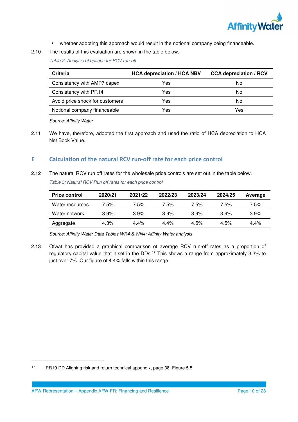

- whether adopting this approach would result in the notional company being financeable.
- 2.10 The results of this evaluation are shown in the table below.

*Table 2: Analysis of options for RCV run-off* 

| <b>Criteria</b>                 | <b>HCA depreciation / HCA NBV</b> | <b>CCA depreciation / RCV</b> |
|---------------------------------|-----------------------------------|-------------------------------|
| Consistency with AMP7 capex     | Yes                               | No                            |
| Consistency with PR14           | Yes                               | No                            |
| Avoid price shock for customers | Yes                               | No                            |
| Notional company financeable    | Yes                               | Yes                           |
|                                 |                                   |                               |

*Source: Affinity Water* 

2.11 We have, therefore, adopted the first approach and used the ratio of HCA depreciation to HCA Net Book Value.

## **E Calculation of the natural RCV run-off rate for each price control**

2.12 The natural RCV run off rates for the wholesale price controls are set out in the table below. *Table 3: Natural RCV Run off rates for each price control* 

| <b>Price control</b> | 2020/21 | 2021/22 | 2022/23 | 2023/24 | 2024/25 | Average |
|----------------------|---------|---------|---------|---------|---------|---------|
| Water resources      | 7.5%    | 7.5%    | 7.5%    | 7.5%    | 7.5%    | 7.5%    |
| Water network        | $3.9\%$ | 3.9%    | 3.9%    | 3.9%    | 3.9%    | 3.9%    |
| Aggregate            | $4.3\%$ | $4.4\%$ | $4.4\%$ | 4.5%    | 4.5%    | $4.4\%$ |

*Source: Affinity Water Data Tables WR4 & WN4; Affinity Water analysis* 

2.13 Ofwat has provided a graphical comparison of average RCV run-off rates as a proportion of regulatory capital value that it set in the DDs.<sup>17</sup> This shows a range from approximately 3.3% to just over 7%. Our figure of 4.4% falls within this range.

l

<sup>17</sup> PR19 DD Aligning risk and return technical appendix, page 38, Figure 5.5.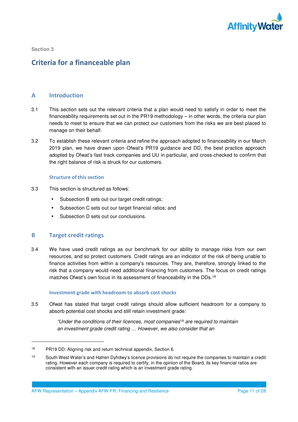

# **Criteria for a financeable plan**

## **A Introduction**

- 3.1 This section sets out the relevant criteria that a plan would need to satisfy in order to meet the financeability requirements set out in the PR19 methodology – in other words, the criteria our plan needs to meet to ensure that we can protect our customers from the risks we are best placed to manage on their behalf.
- 3.2 To establish these relevant criteria and refine the approach adopted to financeability in our March 2019 plan, we have drawn upon Ofwat's PR19 guidance and DD, the best practice approach adopted by Ofwat's fast track companies and UU in particular, and cross-checked to confirm that the right balance of risk is struck for our customers.

### **Structure of this section**

- 3.3 This section is structured as follows:
	- Subsection B sets out our target credit ratings;
	- Subsection C sets out our target financial ratios; and
	- Subsection D sets out our conclusions.

## **B Target credit ratings**

l

3.4 We have used credit ratings as our benchmark for our ability to manage risks from our own resources, and so protect customers. Credit ratings are an indicator of the risk of being unable to finance activities from within a company's resources. They are, therefore, strongly linked to the risk that a company would need additional financing from customers. The focus on credit ratings matches Ofwat's own focus in its assessment of financeability in the DDs.<sup>18</sup>

### **Investment grade with headroom to absorb cost shocks**

3.5 Ofwat has stated that target credit ratings should allow sufficient headroom for a company to absorb potential cost shocks and still retain investment grade:

> *"Under the conditions of their licences, most companies*<sup>19</sup> *are required to maintain an investment grade credit rating … However, we also consider that an*

AFW Representation – Appendix AFW-FR: Financing and Resilience Page 11 of 28

<sup>18</sup> PR19 DD: Aligning risk and return technical appendix, Section 6.

<sup>&</sup>lt;sup>19</sup> South West Water's and Hafren Dyfrdwy's licence provisions do not require the companies to maintain a credit rating. However each company is required to certify, in the opinion of the Board, its key financial ratios are consistent with an issuer credit rating which is an investment grade rating.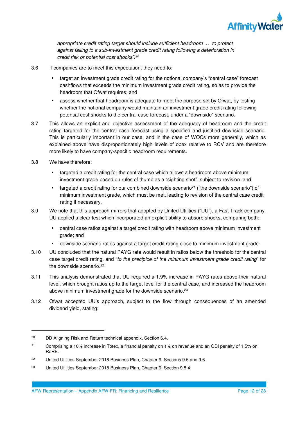

*appropriate credit rating target should include sufficient headroom … to protect against falling to a sub-investment grade credit rating following a deterioration in credit risk or potential cost shocks".<sup>20</sup>* 

- 3.6 If companies are to meet this expectation, they need to:
	- target an investment grade credit rating for the notional company's "central case" forecast cashflows that exceeds the minimum investment grade credit rating, so as to provide the headroom that Ofwat requires; and
	- assess whether that headroom is adequate to meet the purpose set by Ofwat, by testing whether the notional company would maintain an investment grade credit rating following potential cost shocks to the central case forecast, under a "downside" scenario.
- 3.7 This allows an explicit and objective assessment of the adequacy of headroom and the credit rating targeted for the central case forecast using a specified and justified downside scenario. This is particularly important in our case, and in the case of WOCs more generally, which as explained above have disproportionately high levels of opex relative to RCV and are therefore more likely to have company-specific headroom requirements.
- 3.8 We have therefore:

- targeted a credit rating for the central case which allows a headroom above minimum investment grade based on rules of thumb as a "sighting shot", subject to revision; and
- targeted a credit rating for our combined downside scenario<sup>21</sup> ("the downside scenario") of minimum investment grade, which must be met, leading to revision of the central case credit rating if necessary.
- 3.9 We note that this approach mirrors that adopted by United Utilities ("UU"), a Fast Track company. UU applied a clear test which incorporated an explicit ability to absorb shocks, comparing both:
	- central case ratios against a target credit rating with headroom above minimum investment grade; and
	- downside scenario ratios against a target credit rating close to minimum investment grade.
- 3.10 UU concluded that the natural PAYG rate would result in ratios below the threshold for the central case target credit rating, and "*to the precipice of the minimum investment grade credit rating*" for the downside scenario.<sup>22</sup>
- 3.11 This analysis demonstrated that UU required a 1.9% increase in PAYG rates above their natural level, which brought ratios up to the target level for the central case, and increased the headroom above minimum investment grade for the downside scenario.<sup>23</sup>
- 3.12 Ofwat accepted UU's approach, subject to the flow through consequences of an amended dividend yield, stating:

<sup>&</sup>lt;sup>20</sup> DD Aligning Risk and Return technical appendix, Section 6.4.

<sup>&</sup>lt;sup>21</sup> Comprising a 10% increase in Totex, a financial penalty on 1% on revenue and an ODI penalty of 1.5% on RoRE.

<sup>&</sup>lt;sup>22</sup> United Utilities September 2018 Business Plan, Chapter 9, Sections 9.5 and 9.6.

<sup>&</sup>lt;sup>23</sup> United Utilities September 2018 Business Plan, Chapter 9, Section 9.5.4.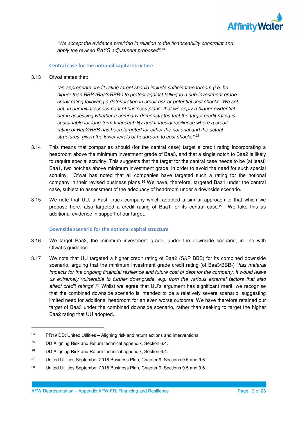

*"We accept the evidence provided in relation to the financeability constraint and apply the revised PAYG adjustment proposed".<sup>24</sup>*

### **Central case for the notional capital structure**

3.13 Ofwat states that:

*"an appropriate credit rating target should include sufficient headroom (i.e. be higher than BBB-/Baa3/BBB-) to protect against falling to a sub-investment grade credit rating following a deterioration in credit risk or potential cost shocks. We set out, in our initial assessment of business plans, that we apply a higher evidential bar in assessing whether a company demonstrates that the target credit rating is sustainable for long-term financeability and financial resilience where a credit rating of Baa2/BBB has been targeted for either the notional and the actual structures, given the lower levels of headroom to cost shocks".<sup>25</sup>*

- 3.14 This means that companies should (for the central case) target a credit rating incorporating a headroom above the minimum investment grade of Baa3, and that a single notch to Baa2 is likely to require special scrutiny. This suggests that the target for the central case needs to be (at least) Baa1, two notches above minimum investment grade, in order to avoid the need for such special scrutiny. Ofwat has noted that all companies have targeted such a rating for the notional company in their revised business plans.<sup>26</sup> We have, therefore, targeted Baa1 under the central case, subject to assessment of the adequacy of headroom under a downside scenario.
- 3.15 We note that UU, a Fast Track company which adopted a similar approach to that which we propose here, also targeted a credit rating of Baa1 for its central case.<sup>27</sup> We take this as additional evidence in support of our target.

#### **Downside scenario for the notional capital structure**

- 3.16 We target Baa3, the minimum investment grade, under the downside scenario, in line with Ofwat's guidance.
- 3.17 We note that UU targeted a higher credit rating of Baa2 (S&P BBB) for its combined downside scenario, arguing that the minimum investment grade credit rating (of Baa3/BBB-) "*has material impacts for the ongoing financial resilience and future cost of debt for the company. It would leave us extremely vulnerable to further downgrade, e.g. from the various external factors that also affect credit ratings*".<sup>28</sup> Whilst we agree that UU's argument has significant merit, we recognise that the combined downside scenario is intended to be a relatively severe scenario, suggesting limited need for additional headroom for an even worse outcome. We have therefore retained our target of Baa3 under the combined downside scenario, rather than seeking to target the higher Baa2 rating that UU adopted.

 $24$  PR19 DD: United Utilities – Aligning risk and return actions and interventions.

 $25$  DD Aligning Risk and Return technical appendix, Section 6.4.

<sup>26</sup> DD Aligning Risk and Return technical appendix, Section 6.4.

<sup>&</sup>lt;sup>27</sup> United Utilities September 2018 Business Plan, Chapter 9, Sections 9.5 and 9.6.

<sup>&</sup>lt;sup>28</sup> United Utilities September 2018 Business Plan, Chapter 9, Sections 9.5 and 9.6.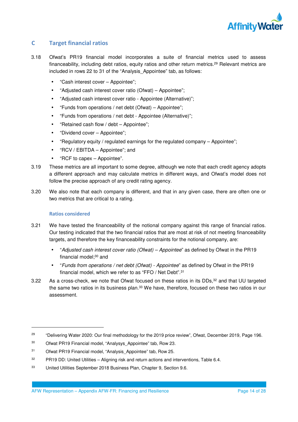

## **C Target financial ratios**

- 3.18 Ofwat's PR19 financial model incorporates a suite of financial metrics used to assess financeability, including debt ratios, equity ratios and other return metrics.<sup>29</sup> Relevant metrics are included in rows 22 to 31 of the "Analysis\_Appointee" tab, as follows:
	- "Cash interest cover Appointee";
	- "Adjusted cash interest cover ratio (Ofwat) Appointee";
	- "Adjusted cash interest cover ratio Appointee (Alternative)";
	- "Funds from operations / net debt (Ofwat) Appointee";
	- "Funds from operations / net debt Appointee (Alternative)";
	- "Retained cash flow / debt Appointee";
	- "Dividend cover Appointee";
	- "Regulatory equity / regulated earnings for the regulated company Appointee";
	- "RCV / EBITDA Appointee"; and
	- "RCF to capex Appointee".
- 3.19 These metrics are all important to some degree, although we note that each credit agency adopts a different approach and may calculate metrics in different ways, and Ofwat's model does not follow the precise approach of any credit rating agency.
- 3.20 We also note that each company is different, and that in any given case, there are often one or two metrics that are critical to a rating.

## **Ratios considered**

- 3.21 We have tested the financeability of the notional company against this range of financial ratios. Our testing indicated that the two financial ratios that are most at risk of not meeting financeability targets, and therefore the key financeability constraints for the notional company, are:
	- "*Adjusted cash interest cover ratio (Ofwat) Appointee*" as defined by Ofwat in the PR19 financial model;<sup>30</sup> and
	- "*Funds from operations / net debt (Ofwat) Appointee*" as defined by Ofwat in the PR19 financial model, which we refer to as "FFO / Net Debt".<sup>31</sup>
- 3.22 As a cross-check, we note that Ofwat focused on these ratios in its DDs,<sup>32</sup> and that UU targeted the same two ratios in its business plan.<sup>33</sup> We have, therefore, focused on these two ratios in our assessment.

<sup>&</sup>lt;sup>29</sup> "Delivering Water 2020: Our final methodology for the 2019 price review", Ofwat, December 2019, Page 196.

<sup>&</sup>lt;sup>30</sup> Ofwat PR19 Financial model, "Analysys Appointee" tab, Row 23.

<sup>&</sup>lt;sup>31</sup> Ofwat PR19 Financial model, "Analysis Appointee" tab, Row 25.

 $32$  PR19 DD: United Utilities – Aligning risk and return actions and interventions, Table 6.4.

<sup>33</sup> United Utilities September 2018 Business Plan, Chapter 9, Section 9.6.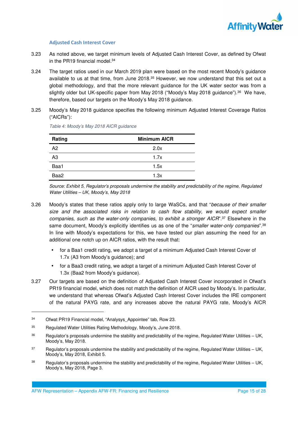

### **Adjusted Cash Interest Cover**

- 3.23 As noted above, we target minimum levels of Adjusted Cash Interest Cover, as defined by Ofwat in the PR19 financial model.<sup>34</sup>
- 3.24 The target ratios used in our March 2019 plan were based on the most recent Moody's guidance available to us at that time, from June 2018.<sup>35</sup> However, we now understand that this set out a global methodology, and that the more relevant guidance for the UK water sector was from a slightly older but UK-specific paper from May 2018 ("Moody's May 2018 guidance").<sup>36</sup> We have, therefore, based our targets on the Moody's May 2018 guidance.
- 3.25 Moody's May 2018 guidance specifies the following minimum Adjusted Interest Coverage Ratios ("AICRs"):

| <b>Minimum AICR</b> |
|---------------------|
| 2.0x                |
| 1.7x                |
| 1.5x                |
| 1.3x                |
|                     |

*Table 4: Moody's May 2018 AICR guidance* 

*Source: Exhibit 5, Regulator's proposals undermine the stability and predictability of the regime, Regulated Water Utilities – UK, Moody's, May 2018* 

- 3.26 Moody's states that these ratios apply only to large WaSCs, and that "*because of their smaller size and the associated risks in relation to cash flow stability, we would expect smaller companies, such as the water-only companies, to exhibit a stronger AICR*".<sup>37</sup> Elsewhere in the same document, Moody's explicitly identifies us as one of the "*smaller water-only companies*".<sup>38</sup> In line with Moody's expectations for this, we have tested our plan assuming the need for an additional one notch up on AICR ratios, with the result that:
	- for a Baa1 credit rating, we adopt a target of a minimum Adjusted Cash Interest Cover of 1.7x (A3 from Moody's guidance); and
	- for a Baa3 credit rating, we adopt a target of a minimum Adjusted Cash Interest Cover of 1.3x (Baa2 from Moody's guidance).
- 3.27 Our targets are based on the definition of Adjusted Cash Interest Cover incorporated in Ofwat's PR19 financial model, which does not match the definition of AICR used by Moody's. In particular, we understand that whereas Ofwat's Adjusted Cash Interest Cover includes the IRE component of the natural PAYG rate, and any increases above the natural PAYG rate, Moody's AICR

<sup>34</sup> Ofwat PR19 Financial model, "Analysys\_Appointee" tab, Row 23.

<sup>35</sup> Regulated Water Utilities Rating Methodology, Moody's, June 2018.

 $36$  Regulator's proposals undermine the stability and predictability of the regime, Regulated Water Utilities – UK, Moody's, May 2018.

<sup>&</sup>lt;sup>37</sup> Regulator's proposals undermine the stability and predictability of the regime, Regulated Water Utilities – UK, Moody's, May 2018, Exhibit 5.

<sup>&</sup>lt;sup>38</sup> Regulator's proposals undermine the stability and predictability of the regime, Regulated Water Utilities – UK, Moody's, May 2018, Page 3.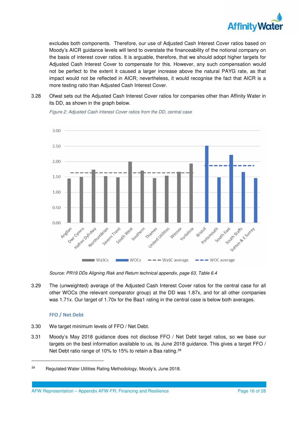

excludes both components. Therefore, our use of Adjusted Cash Interest Cover ratios based on Moody's AICR guidance levels will tend to overstate the financeability of the notional company on the basis of interest cover ratios. It is arguable, therefore, that we should adopt higher targets for Adjusted Cash Interest Cover to compensate for this. However, any such compensation would not be perfect to the extent it caused a larger increase above the natural PAYG rate, as that impact would not be reflected in AICR; nevertheless, it would recognise the fact that AICR is a more testing ratio than Adjusted Cash Interest Cover.

3.28 Ofwat sets out the Adjusted Cash Interest Cover ratios for companies other than Affinity Water in its DD, as shown in the graph below.



*Figure 2: Adjusted Cash Interest Cover ratios from the DD, central case* 

*Source: PR19 DDs Aligning Risk and Return technical appendix, page 63, Table 6.4* 

3.29 The (unweighted) average of the Adjusted Cash Interest Cover ratios for the central case for all other WOCs (the relevant comparator group) at the DD was 1.87x, and for all other companies was 1.71x. Our target of 1.70x for the Baa1 rating in the central case is below both averages.

## **FFO / Net Debt**

l

- 3.30 We target minimum levels of FFO / Net Debt.
- 3.31 Moody's May 2018 guidance does not disclose FFO / Net Debt target ratios, so we base our targets on the best information available to us, its June 2018 guidance. This gives a target FFO / Net Debt ratio range of 10% to 15% to retain a Baa rating.<sup>39</sup>

<sup>39</sup> Regulated Water Utilities Rating Methodology, Moody's, June 2018.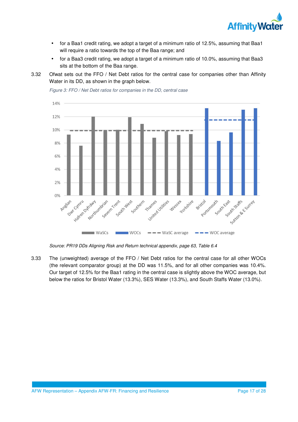

- for a Baa1 credit rating, we adopt a target of a minimum ratio of 12.5%, assuming that Baa1 will require a ratio towards the top of the Baa range; and
- for a Baa3 credit rating, we adopt a target of a minimum ratio of 10.0%, assuming that Baa3 sits at the bottom of the Baa range.

3.32 Ofwat sets out the FFO / Net Debt ratios for the central case for companies other than Affinity Water in its DD, as shown in the graph below.



*Figure 3: FFO / Net Debt ratios for companies in the DD, central case* 

*Source: PR19 DDs Aligning Risk and Return technical appendix, page 63, Table 6.4* 

3.33 The (unweighted) average of the FFO / Net Debt ratios for the central case for all other WOCs (the relevant comparator group) at the DD was 11.5%, and for all other companies was 10.4%. Our target of 12.5% for the Baa1 rating in the central case is slightly above the WOC average, but below the ratios for Bristol Water (13.3%), SES Water (13.3%), and South Staffs Water (13.0%).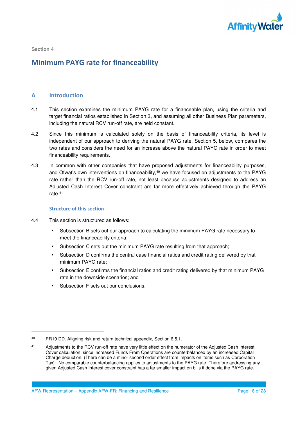

l

# **Minimum PAYG rate for financeability**

## **A Introduction**

- 4.1 This section examines the minimum PAYG rate for a financeable plan, using the criteria and target financial ratios established in Section 3, and assuming all other Business Plan parameters, including the natural RCV run-off rate, are held constant.
- 4.2 Since this minimum is calculated solely on the basis of financeability criteria, its level is independent of our approach to deriving the natural PAYG rate. Section 5, below, compares the two rates and considers the need for an increase above the natural PAYG rate in order to meet financeability requirements.
- 4.3 In common with other companies that have proposed adjustments for financeability purposes, and Ofwat's own interventions on financeability,<sup>40</sup> we have focused on adjustments to the PAYG rate rather than the RCV run-off rate, not least because adjustments designed to address an Adjusted Cash Interest Cover constraint are far more effectively achieved through the PAYG rate.<sup>41</sup>

#### **Structure of this section**

- 4.4 This section is structured as follows:
	- Subsection B sets out our approach to calculating the minimum PAYG rate necessary to meet the financeability criteria;
	- Subsection C sets out the minimum PAYG rate resulting from that approach;
	- Subsection D confirms the central case financial ratios and credit rating delivered by that minimum PAYG rate;
	- Subsection E confirms the financial ratios and credit rating delivered by that minimum PAYG rate in the downside scenarios; and
	- Subsection F sets out our conclusions.

<sup>40</sup> PR19 DD. Aligning risk and return technical appendix, Section 6.5.1.

<sup>41</sup> Adjustments to the RCV run-off rate have very little effect on the numerator of the Adjusted Cash Interest Cover calculation, since increased Funds From Operations are counterbalanced by an increased Capital Charge deduction. (There can be a minor second order effect from impacts on items such as Corporation Tax). No comparable counterbalancing applies to adjustments to the PAYG rate. Therefore addressing any given Adjusted Cash Interest cover constraint has a far smaller impact on bills if done via the PAYG rate.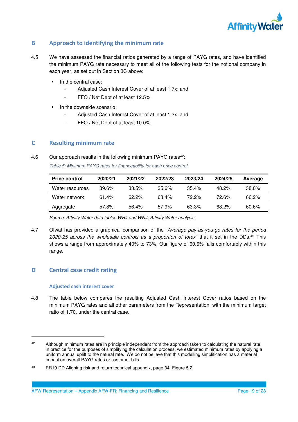

## **B Approach to identifying the minimum rate**

- 4.5 We have assessed the financial ratios generated by a range of PAYG rates, and have identified the minimum PAYG rate necessary to meet all of the following tests for the notional company in each year, as set out in Section 3C above:
	- In the central case:
		- Adjusted Cash Interest Cover of at least 1.7x; and
		- FFO / Net Debt of at least 12.5%.
	- In the downside scenario:
		- Adjusted Cash Interest Cover of at least 1.3x; and
		- FFO / Net Debt of at least 10.0%.

## **C Resulting minimum rate**

4.6 Our approach results in the following minimum PAYG rates<sup>42</sup>:

*Table 5: Minimum PAYG rates for financeability for each price control* 

| <b>Price control</b> | 2020/21  | 2021/22  | 2022/23  | 2023/24  | 2024/25  | Average  |
|----------------------|----------|----------|----------|----------|----------|----------|
| Water resources      | $39.6\%$ | 33.5%    | $35.6\%$ | $35.4\%$ | $48.2\%$ | $38.0\%$ |
| Water network        | 61.4%    | $62.2\%$ | $63.4\%$ | 72.2%    | 72 R%    | 66.2%    |
| Aggregate            | 57.8%    | 56.4%    | 57.9%    | 63.3%    | 68.2%    | $60.6\%$ |

*Source: Affinity Water data tables WR4 and WN4; Affinity Water analysis* 

4.7 Ofwat has provided a graphical comparison of the "*Average pay-as-you-go rates for the period 2020-25 across the wholesale controls as a proportion of totex*" that it set in the DDs.<sup>43</sup> This shows a range from approximately 40% to 73%. Our figure of 60.6% falls comfortably within this range.

## **D Central case credit rating**

-

#### **Adjusted cash interest cover**

4.8 The table below compares the resulting Adjusted Cash Interest Cover ratios based on the minimum PAYG rates and all other parameters from the Representation, with the minimum target ratio of 1.70, under the central case.

<sup>42</sup> Although minimum rates are in principle independent from the approach taken to calculating the natural rate, in practice for the purposes of simplifying the calculation process, we estimated minimum rates by applying a uniform annual uplift to the natural rate. We do not believe that this modelling simplification has a material impact on overall PAYG rates or customer bills.

<sup>43</sup> PR19 DD Aligning risk and return technical appendix, page 34, Figure 5.2.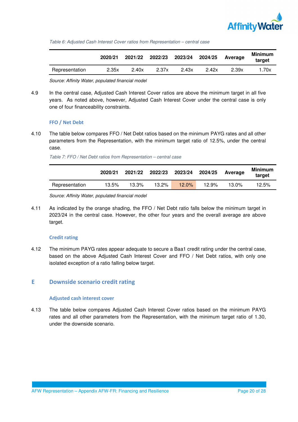

*Table 6: Adjusted Cash Interest Cover ratios from Representation – central case* 

|                | 2020/21 | 2021/22 | 2022/23 |       | 2023/24 2024/25 | Average | <b>Minimum</b><br>target |
|----------------|---------|---------|---------|-------|-----------------|---------|--------------------------|
| Representation | 2.35x   | 2.40x   | 2.37x   | 2.43x | 2.42x           | 2.39x   | l.70x                    |

*Source: Affinity Water, populated financial model* 

4.9 In the central case, Adjusted Cash Interest Cover ratios are above the minimum target in all five years. As noted above, however, Adjusted Cash Interest Cover under the central case is only one of four financeability constraints.

### **FFO / Net Debt**

4.10 The table below compares FFO / Net Debt ratios based on the minimum PAYG rates and all other parameters from the Representation, with the minimum target ratio of 12.5%, under the central case.

*Table 7: FFO / Net Debt ratios from Representation – central case* 

|                | 2020/21 | 2021/22 | 2022/23 | 2023/24  | 2024/25 | Average  | <b>Minimum</b><br>target |
|----------------|---------|---------|---------|----------|---------|----------|--------------------------|
| Representation | 13.5%   | 13.3%   | 13.2%   | $12.0\%$ | 12.9%   | $13.0\%$ | 12.5%                    |

*Source: Affinity Water, populated financial model* 

4.11 As indicated by the orange shading, the FFO / Net Debt ratio falls below the minimum target in 2023/24 in the central case. However, the other four years and the overall average are above target.

#### **Credit rating**

4.12 The minimum PAYG rates appear adequate to secure a Baa1 credit rating under the central case, based on the above Adjusted Cash Interest Cover and FFO / Net Debt ratios, with only one isolated exception of a ratio falling below target.

## **E Downside scenario credit rating**

#### **Adjusted cash interest cover**

4.13 The table below compares Adjusted Cash Interest Cover ratios based on the minimum PAYG rates and all other parameters from the Representation, with the minimum target ratio of 1.30, under the downside scenario.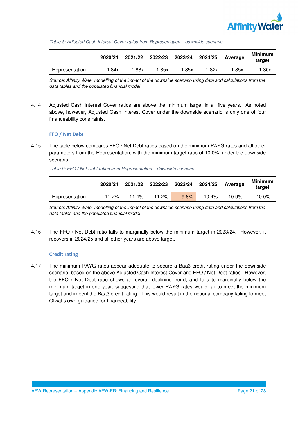

*Table 8: Adjusted Cash Interest Cover ratios from Representation – downside scenario* 

|                | 2020/21 | 2021/22 | 2022/23 | 2023/24 2024/25 |      | Average | <b>Minimum</b><br>target |
|----------------|---------|---------|---------|-----------------|------|---------|--------------------------|
| Representation | .84x    | .88x    | .85x    | .85x            | .82x | .85x    | 1.30x                    |

*Source: Affinity Water modelling of the impact of the downside scenario using data and calculations from the data tables and the populated financial model* 

4.14 Adjusted Cash Interest Cover ratios are above the minimum target in all five years. As noted above, however, Adjusted Cash Interest Cover under the downside scenario is only one of four financeability constraints.

### **FFO / Net Debt**

4.15 The table below compares FFO / Net Debt ratios based on the minimum PAYG rates and all other parameters from the Representation, with the minimum target ratio of 10.0%, under the downside scenario.

*Table 9: FFO / Net Debt ratios from Representation – downside scenario* 

|                | 2020/21 | 2021/22 | 2022/23 | 2023/24 2024/25 |          | <b>Average</b> | Minimum<br>target |
|----------------|---------|---------|---------|-----------------|----------|----------------|-------------------|
| Representation | 11.7%   | 11.4%   | 11.2%   | 9.8%            | $10.4\%$ | 10.9%          | 10.0%             |

*Source: Affinity Water modelling of the impact of the downside scenario using data and calculations from the data tables and the populated financial model* 

4.16 The FFO / Net Debt ratio falls to marginally below the minimum target in 2023/24. However, it recovers in 2024/25 and all other years are above target.

#### **Credit rating**

4.17 The minimum PAYG rates appear adequate to secure a Baa3 credit rating under the downside scenario, based on the above Adjusted Cash Interest Cover and FFO / Net Debt ratios. However, the FFO / Net Debt ratio shows an overall declining trend, and falls to marginally below the minimum target in one year, suggesting that lower PAYG rates would fail to meet the minimum target and imperil the Baa3 credit rating. This would result in the notional company failing to meet Ofwat's own guidance for financeability.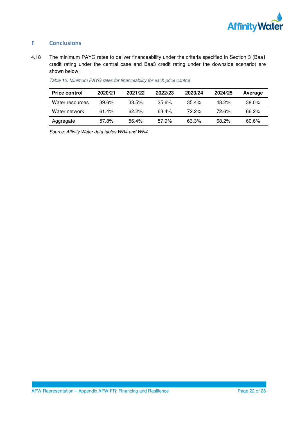

## **F Conclusions**

4.18 The minimum PAYG rates to deliver financeability under the criteria specified in Section 3 (Baa1 credit rating under the central case and Baa3 credit rating under the downside scenario) are shown below:

| <b>Price control</b> | 2020/21 | 2021/22  | 2022/23  | 2023/24  | 2024/25  | Average  |
|----------------------|---------|----------|----------|----------|----------|----------|
| Water resources      | 39.6%   | $33.5\%$ | $35.6\%$ | $35.4\%$ | $48.2\%$ | $38.0\%$ |
| Water network        | 61.4%   | $62.2\%$ | $63.4\%$ | $72.2\%$ | 72 6%    | 66.2%    |
| Aggregate            | 57.8%   | 56.4%    | 57.9%    | 63.3%    | 68.2%    | 60.6%    |

*Table 10: Minimum PAYG rates for financeability for each price control* 

*Source: Affinity Water data tables WR4 and WN4*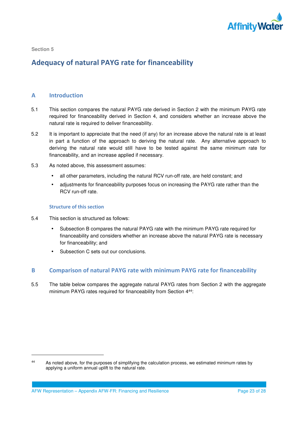

-

# **Adequacy of natural PAYG rate for financeability**

## **A Introduction**

- 5.1 This section compares the natural PAYG rate derived in Section 2 with the minimum PAYG rate required for financeability derived in Section 4, and considers whether an increase above the natural rate is required to deliver financeability.
- 5.2 It is important to appreciate that the need (if any) for an increase above the natural rate is at least in part a function of the approach to deriving the natural rate. Any alternative approach to deriving the natural rate would still have to be tested against the same minimum rate for financeability, and an increase applied if necessary.
- 5.3 As noted above, this assessment assumes:
	- all other parameters, including the natural RCV run-off rate, are held constant; and
	- adjustments for financeability purposes focus on increasing the PAYG rate rather than the RCV run-off rate.

### **Structure of this section**

- 5.4 This section is structured as follows:
	- Subsection B compares the natural PAYG rate with the minimum PAYG rate required for financeability and considers whether an increase above the natural PAYG rate is necessary for financeability; and
	- Subsection C sets out our conclusions.

## **B Comparison of natural PAYG rate with minimum PAYG rate for financeability**

5.5 The table below compares the aggregate natural PAYG rates from Section 2 with the aggregate minimum PAYG rates required for financeability from Section 4<sup>44</sup>:

<sup>44</sup> As noted above, for the purposes of simplifying the calculation process, we estimated minimum rates by applying a uniform annual uplift to the natural rate.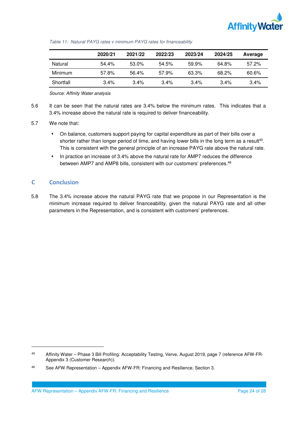

|           | 2020/21 | 2021/22 | 2022/23 | 2023/24 | 2024/25 | Average  |
|-----------|---------|---------|---------|---------|---------|----------|
| Natural   | 54.4%   | 53.0%   | 54.5%   | 59.9%   | 64.8%   | $57.2\%$ |
| Minimum   | 57.8%   | 56.4%   | 57.9%   | 63.3%   | 68.2%   | $60.6\%$ |
| Shortfall | $3.4\%$ | $3.4\%$ | $3.4\%$ | $3.4\%$ | 3.4%    | 3.4%     |

*Table 11: Natural PAYG rates v minimum PAYG rates for financeability* 

*Source: Affinity Water analysis* 

5.6 It can be seen that the natural rates are 3.4% below the minimum rates. This indicates that a 3.4% increase above the natural rate is required to deliver financeability.

## 5.7 We note that:

- On balance, customers support paying for capital expenditure as part of their bills over a shorter rather than longer period of time, and having lower bills in the long term as a result<sup>45</sup>. This is consistent with the general principle of an increase PAYG rate above the natural rate.
- In practice an increase of 3.4% above the natural rate for AMP7 reduces the difference between AMP7 and AMP8 bills, consistent with our customers' preferences.<sup>46</sup>

## **C Conclusion**

-

5.8 The 3.4% increase above the natural PAYG rate that we propose in our Representation is the minimum increase required to deliver financeability, given the natural PAYG rate and all other parameters in the Representation, and is consistent with customers' preferences.

<sup>45</sup> Affinity Water – Phase 3 Bill Profiling: Acceptability Testing, Verve, August 2019, page 7 (reference AFW-FR-Appendix 3 (Customer Research)).

<sup>46</sup> See AFW Representation – Appendix AFW-FR: Financing and Resilience, Section 3.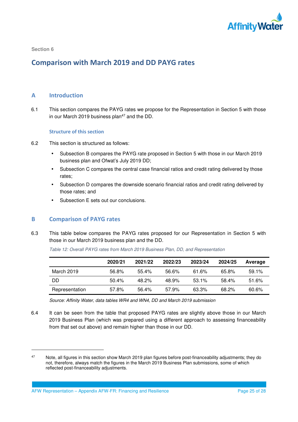

## **Comparison with March 2019 and DD PAYG rates**

## **A Introduction**

6.1 This section compares the PAYG rates we propose for the Representation in Section 5 with those in our March 2019 business plan<sup>47</sup> and the DD.

#### **Structure of this section**

- 6.2 This section is structured as follows:
	- Subsection B compares the PAYG rate proposed in Section 5 with those in our March 2019 business plan and Ofwat's July 2019 DD;
	- Subsection C compares the central case financial ratios and credit rating delivered by those rates;
	- Subsection D compares the downside scenario financial ratios and credit rating delivered by those rates; and
	- Subsection E sets out our conclusions.

## **B Comparison of PAYG rates**

-

6.3 This table below compares the PAYG rates proposed for our Representation in Section 5 with those in our March 2019 business plan and the DD.

*Table 12: Overall PAYG rates from March 2019 Business Plan, DD, and Representation* 

|                | 2020/21 | 2021/22 | 2022/23 | 2023/24  | 2024/25 | Average |
|----------------|---------|---------|---------|----------|---------|---------|
| March 2019     | 56.8%   | 55.4%   | 56.6%   | 61.6%    | 65.8%   | 59.1%   |
| DD             | 50.4%   | 48.2%   | 48.9%   | $53.1\%$ | 58.4%   | 51.6%   |
| Representation | 57.8%   | 56.4%   | 57.9%   | 63.3%    | 68.2%   | 60.6%   |

*Source: Affinity Water, data tables WR4 and WN4, DD and March 2019 submission* 

6.4 It can be seen from the table that proposed PAYG rates are slightly above those in our March 2019 Business Plan (which was prepared using a different approach to assessing financeability from that set out above) and remain higher than those in our DD.

<sup>&</sup>lt;sup>47</sup> Note, all figures in this section show March 2019 plan figures before post-financeability adjustments; they do not, therefore, always match the figures in the March 2019 Business Plan submissions, some of which reflected post-financeability adjustments.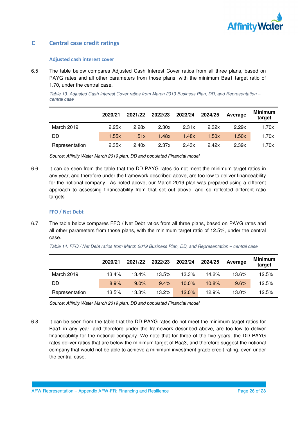

## **C Central case credit ratings**

### **Adjusted cash interest cover**

6.5 The table below compares Adjusted Cash Interest Cover ratios from all three plans, based on PAYG rates and all other parameters from those plans, with the minimum Baa1 target ratio of 1.70, under the central case.

*Table 13: Adjusted Cash Interest Cover ratios from March 2019 Business Plan, DD, and Representation – central case* 

|                | 2020/21 | 2021/22 | 2022/23 | 2023/24 | 2024/25 | Average | <b>Minimum</b><br>target |
|----------------|---------|---------|---------|---------|---------|---------|--------------------------|
| March 2019     | 2.25x   | 2.28x   | 2.30x   | 2.31x   | 2.32x   | 2.29x   | 1.70x                    |
| DD             | 1.55x   | 1.51x   | 1.48x   | 1.48x   | 1.50x   | 1.50x   | 1.70x                    |
| Representation | 2.35x   | 2.40x   | 2.37x   | 2.43x   | 2.42x   | 2.39x   | l.70x                    |

*Source: Affinity Water March 2019 plan, DD and populated Financial model* 

6.6 It can be seen from the table that the DD PAYG rates do not meet the minimum target ratios in any year, and therefore under the framework described above, are too low to deliver financeability for the notional company. As noted above, our March 2019 plan was prepared using a different approach to assessing financeability from that set out above, and so reflected different ratio targets.

#### **FFO / Net Debt**

6.7 The table below compares FFO / Net Debt ratios from all three plans, based on PAYG rates and all other parameters from those plans, with the minimum target ratio of 12.5%, under the central case.

*Table 14: FFO / Net Debt ratios from March 2019 Business Plan, DD, and Representation – central case* 

|                | 2020/21 | 2021/22 | 2022/23 | 2023/24  | 2024/25 | Average | <b>Minimum</b><br>target |
|----------------|---------|---------|---------|----------|---------|---------|--------------------------|
| March 2019     | 13.4%   | 13.4%   | 13.5%   | 13.3%    | 14.2%   | 13.6%   | 12.5%                    |
| DD             | 8.9%    | $9.0\%$ | 9.4%    | $10.0\%$ | 10.8%   | 9.6%    | 12.5%                    |
| Representation | 13.5%   | 13.3%   | 13.2%   | $12.0\%$ | 12.9%   | 13.0%   | 12.5%                    |

*Source: Affinity Water March 2019 plan, DD and populated Financial model* 

6.8 It can be seen from the table that the DD PAYG rates do not meet the minimum target ratios for Baa1 in any year, and therefore under the framework described above, are too low to deliver financeability for the notional company. We note that for three of the five years, the DD PAYG rates deliver ratios that are below the minimum target of Baa3, and therefore suggest the notional company that would not be able to achieve a minimum investment grade credit rating, even under the central case.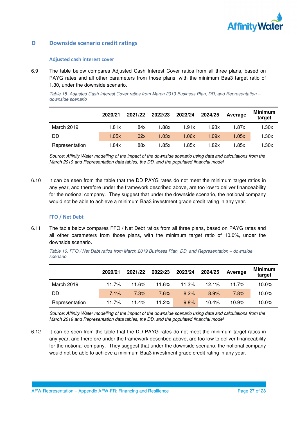

## **D Downside scenario credit ratings**

#### **Adjusted cash interest cover**

6.9 The table below compares Adjusted Cash Interest Cover ratios from all three plans, based on PAYG rates and all other parameters from those plans, with the minimum Baa3 target ratio of 1.30, under the downside scenario.

*Table 15: Adjusted Cash Interest Cover ratios from March 2019 Business Plan, DD, and Representation – downside scenario* 

|                   | 2020/21 | 2021/22 | 2022/23 | 2023/24 | 2024/25 | Average | <b>Minimum</b><br>target |
|-------------------|---------|---------|---------|---------|---------|---------|--------------------------|
| <b>March 2019</b> | 1.81x   | l.84x   | 1.88x   | 1.91x   | 1.93x   | 1.87x   | 1.30x                    |
| DD                | 1.05x   | 1.02x   | 1.03x   | 1.06x   | 1.09x   | 1.05x   | 1.30x                    |
| Representation    | 1.84x   | .88x    | 1.85x   | 1.85x   | 1.82x   | 1.85x   | 1.30x                    |

*Source: Affinity Water modelling of the impact of the downside scenario using data and calculations from the March 2019 and Representation data tables, the DD, and the populated financial model* 

6.10 It can be seen from the table that the DD PAYG rates do not meet the minimum target ratios in any year, and therefore under the framework described above, are too low to deliver financeability for the notional company. They suggest that under the downside scenario, the notional company would not be able to achieve a minimum Baa3 investment grade credit rating in any year.

## **FFO / Net Debt**

6.11 The table below compares FFO / Net Debt ratios from all three plans, based on PAYG rates and all other parameters from those plans, with the minimum target ratio of 10.0%, under the downside scenario.

|                | 2020/21 | 2021/22 | 2022/23 | 2023/24 | 2024/25 | Average | <b>Minimum</b><br>target |
|----------------|---------|---------|---------|---------|---------|---------|--------------------------|
| March 2019     | 11.7%   | 11.6%   | 11.6%   | 11.3%   | 12.1%   | 11.7%   | $10.0\%$                 |
| DD.            | 7.1%    | 7.3%    | 7.6%    | 8.2%    | 8.9%    | 7.8%    | 10.0%                    |
| Representation | 11.7%   | 11.4%   | 11.2%   | 9.8%    | 10.4%   | 10.9%   | 10.0%                    |

*Table 16: FFO / Net Debt ratios from March 2019 Business Plan, DD, and Representation – downside scenario* 

*Source: Affinity Water modelling of the impact of the downside scenario using data and calculations from the March 2019 and Representation data tables, the DD, and the populated financial model* 

6.12 It can be seen from the table that the DD PAYG rates do not meet the minimum target ratios in any year, and therefore under the framework described above, are too low to deliver financeability for the notional company. They suggest that under the downside scenario, the notional company would not be able to achieve a minimum Baa3 investment grade credit rating in any year.